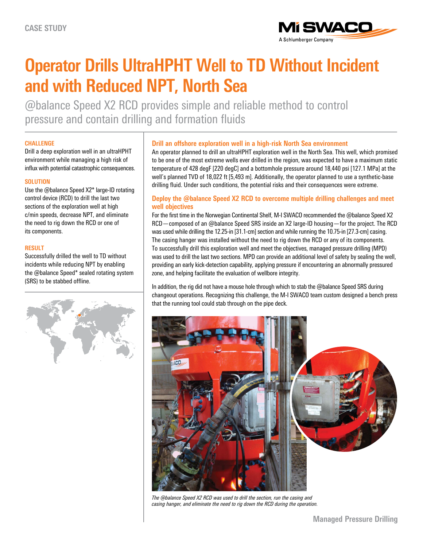

# **Operator Drills UltraHPHT Well to TD Without Incident and with Reduced NPT, North Sea**

@balance Speed X2 RCD provides simple and reliable method to control pressure and contain drilling and formation fluids

### **CHALLENGE**

Drill a deep exploration well in an ultraHPHT environment while managing a high risk of influx with potential catastrophic consequences.

#### **SOLUTION**

Use the @balance Speed X2\* large-ID rotating control device (RCD) to drill the last two sections of the exploration well at high c/min speeds, decrease NPT, and eliminate the need to rig down the RCD or one of its components.

#### **RESULT**

Successfully drilled the well to TD without incidents while reducing NPT by enabling the @balance Speed\* sealed rotating system (SRS) to be stabbed offline.



# **Drill an offshore exploration well in a high-risk North Sea environment**

An operator planned to drill an ultraHPHT exploration well in the North Sea. This well, which promised to be one of the most extreme wells ever drilled in the region, was expected to have a maximum static temperature of 428 degF [220 degC] and a bottomhole pressure around 18,440 psi [127.1 MPa] at the well's planned TVD of 18,022 ft [5,493 m]. Additionally, the operator planned to use a synthetic-base drilling fluid. Under such conditions, the potential risks and their consequences were extreme.

# **Deploy the @balance Speed X2 RCD to overcome multiple drilling challenges and meet well objectives**

For the first time in the Norwegian Continental Shelf, M-I SWACO recommended the @balance Speed X2 RCD—composed of an @balance Speed SRS inside an X2 large-ID housing—for the project. The RCD was used while drilling the 12.25-in [31.1-cm] section and while running the 10.75-in [27.3-cm] casing. The casing hanger was installed without the need to rig down the RCD or any of its components. To successfully drill this exploration well and meet the objectives, managed pressure drilling (MPD) was used to drill the last two sections. MPD can provide an additional level of safety by sealing the well, providing an early kick-detection capability, applying pressure if encountering an abnormally pressured zone, and helping facilitate the evaluation of wellbore integrity.

In addition, the rig did not have a mouse hole through which to stab the @balance Speed SRS during changeout operations. Recognizing this challenge, the M-I SWACO team custom designed a bench press that the running tool could stab through on the pipe deck.



*The @balance Speed X2 RCD was used to drill the section, run the casing and casing hanger, and eliminate the need to rig down the RCD during the operation.*